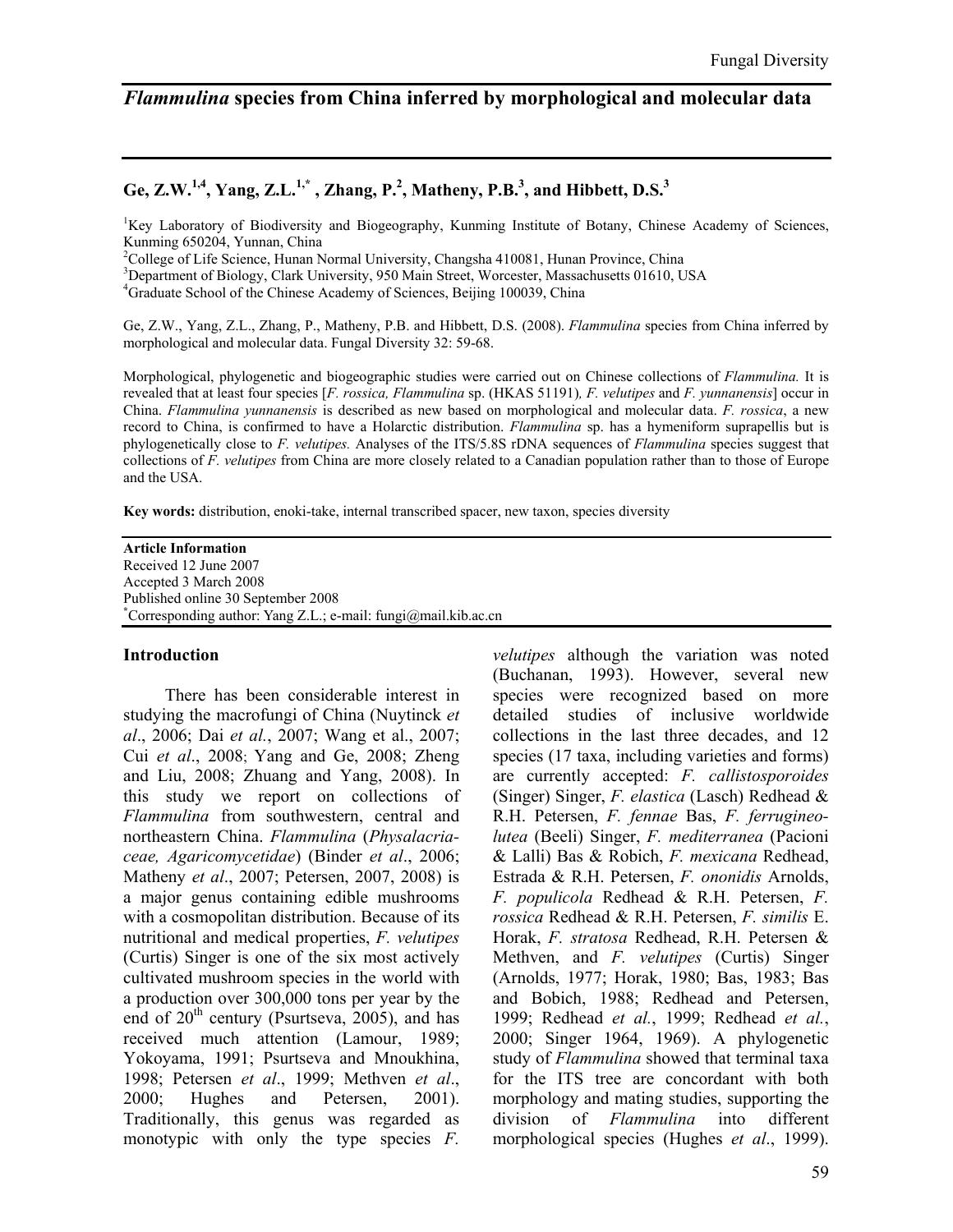# *Flammulina* **species from China inferred by morphological and molecular data**

## Ge, Z.W.<sup>1,4</sup>, Yang, Z.L.<sup>1,\*</sup>, Zhang, P.<sup>2</sup>, Matheny, P.B.<sup>3</sup>, and Hibbett, D.S.<sup>3</sup>

<sup>1</sup>Key Laboratory of Biodiversity and Biogeography, Kunming Institute of Botany, Chinese Academy of Sciences, Kunming 650204, Yunnan, China

<sup>2</sup>College of Life Science, Hunan Normal University, Changsha 410081, Hunan Province, China

<sup>3</sup>Department of Biology, Clark University, 950 Main Street, Worcester, Massachusetts 01610, USA

<sup>4</sup>Graduate School of the Chinese Academy of Sciences, Beijing 100039, China

Ge, Z.W., Yang, Z.L., Zhang, P., Matheny, P.B. and Hibbett, D.S. (2008). *Flammulina* species from China inferred by morphological and molecular data. Fungal Diversity 32: 59-68.

Morphological, phylogenetic and biogeographic studies were carried out on Chinese collections of *Flammulina.* It is revealed that at least four species [*F. rossica, Flammulina* sp. (HKAS 51191)*, F. velutipes* and *F. yunnanensis*] occur in China. *Flammulina yunnanensis* is described as new based on morphological and molecular data. *F. rossica*, a new record to China, is confirmed to have a Holarctic distribution. *Flammulina* sp. has a hymeniform suprapellis but is phylogenetically close to *F. velutipes.* Analyses of the ITS/5.8S rDNA sequences of *Flammulina* species suggest that collections of *F. velutipes* from China are more closely related to a Canadian population rather than to those of Europe and the USA.

**Key words:** distribution, enoki-take, internal transcribed spacer, new taxon, species diversity

#### **Article Information**

Received 12 June 2007 Accepted 3 March 2008 Published online 30 September 2008 **\*** Corresponding author: Yang Z.L.; e-mail: fungi@mail.kib.ac.cn

#### **Introduction**

There has been considerable interest in studying the macrofungi of China (Nuytinck *et al*., 2006; Dai *et al.*, 2007; Wang et al., 2007; Cui *et al*., 2008; Yang and Ge, 2008; Zheng and Liu, 2008; Zhuang and Yang, 2008). In this study we report on collections of *Flammulina* from southwestern, central and northeastern China. *Flammulina* (*Physalacriaceae, Agaricomycetidae*) (Binder *et al*., 2006; Matheny *et al*., 2007; Petersen, 2007, 2008) is a major genus containing edible mushrooms with a cosmopolitan distribution. Because of its nutritional and medical properties, *F. velutipes* (Curtis) Singer is one of the six most actively cultivated mushroom species in the world with a production over 300,000 tons per year by the end of  $20^{th}$  century (Psurtseva,  $2005$ ), and has received much attention (Lamour, 1989; Yokoyama, 1991; Psurtseva and Mnoukhina, 1998; Petersen *et al*., 1999; Methven *et al*., 2000; Hughes and Petersen, 2001). Traditionally, this genus was regarded as monotypic with only the type species *F.* 

*velutipes* although the variation was noted (Buchanan, 1993). However, several new species were recognized based on more detailed studies of inclusive worldwide collections in the last three decades, and 12 species (17 taxa, including varieties and forms) are currently accepted: *F. callistosporoides* (Singer) Singer, *F. elastica* (Lasch) Redhead & R.H. Petersen, *F. fennae* Bas, *F. ferrugineolutea* (Beeli) Singer, *F. mediterranea* (Pacioni & Lalli) Bas & Robich, *F. mexicana* Redhead, Estrada & R.H. Petersen, *F. ononidis* Arnolds, *F. populicola* Redhead & R.H. Petersen, *F. rossica* Redhead & R.H. Petersen, *F. similis* E. Horak, *F. stratosa* Redhead, R.H. Petersen & Methven, and *F. velutipes* (Curtis) Singer (Arnolds, 1977; Horak, 1980; Bas, 1983; Bas and Bobich, 1988; Redhead and Petersen, 1999; Redhead *et al.*, 1999; Redhead *et al.*, 2000; Singer 1964, 1969). A phylogenetic study of *Flammulina* showed that terminal taxa for the ITS tree are concordant with both morphology and mating studies, supporting the division of *Flammulina* into different morphological species (Hughes *et al*., 1999).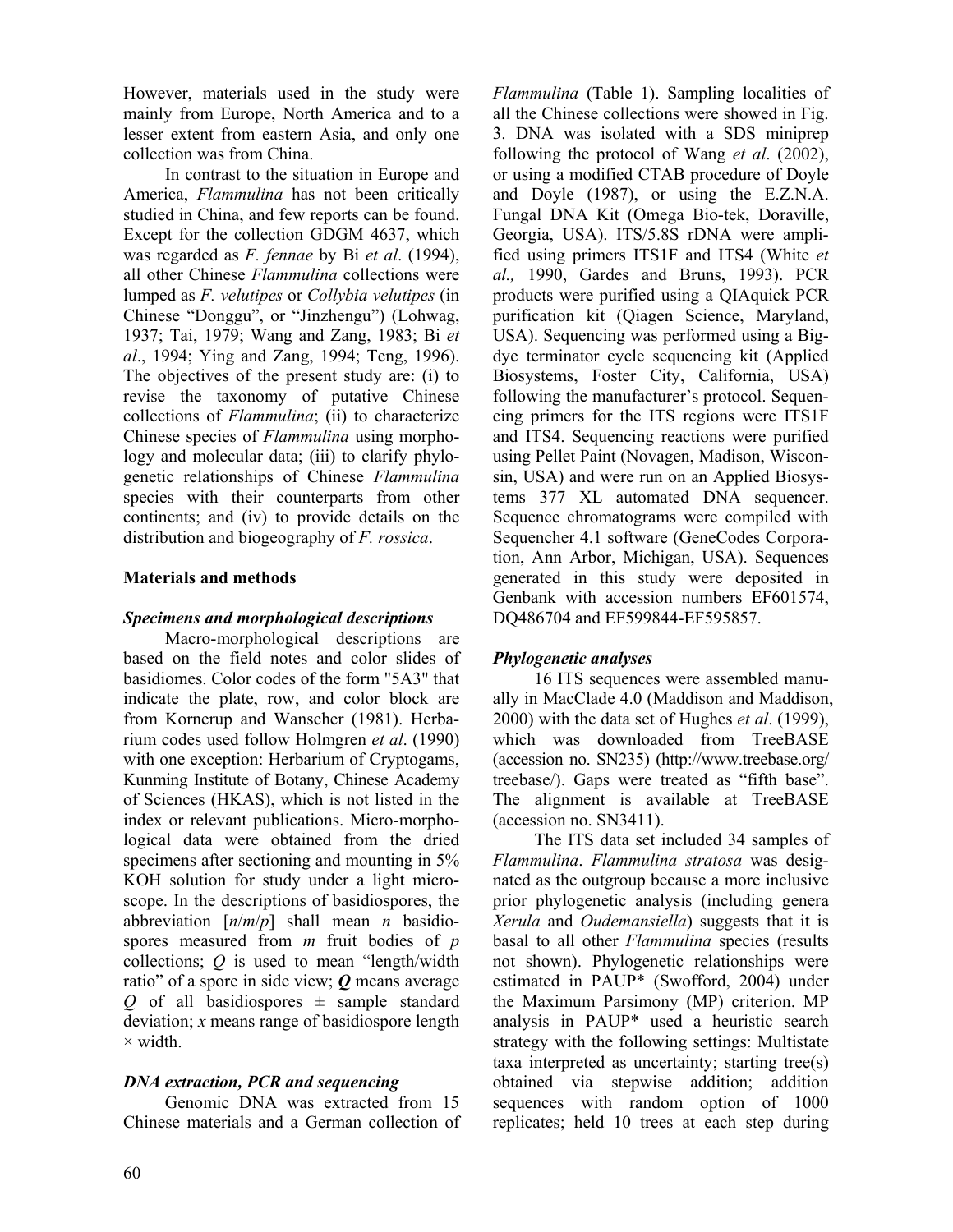However, materials used in the study were mainly from Europe, North America and to a lesser extent from eastern Asia, and only one collection was from China.

In contrast to the situation in Europe and America, *Flammulina* has not been critically studied in China, and few reports can be found. Except for the collection GDGM 4637, which was regarded as *F. fennae* by Bi *et al*. (1994), all other Chinese *Flammulina* collections were lumped as *F. velutipes* or *Collybia velutipes* (in Chinese "Donggu", or "Jinzhengu") (Lohwag, 1937; Tai, 1979; Wang and Zang, 1983; Bi *et al*., 1994; Ying and Zang, 1994; Teng, 1996). The objectives of the present study are: (i) to revise the taxonomy of putative Chinese collections of *Flammulina*; (ii) to characterize Chinese species of *Flammulina* using morphology and molecular data; (iii) to clarify phylogenetic relationships of Chinese *Flammulina*  species with their counterparts from other continents; and (iv) to provide details on the distribution and biogeography of *F. rossica*.

### **Materials and methods**

### *Specimens and morphological descriptions*

Macro-morphological descriptions are based on the field notes and color slides of basidiomes. Color codes of the form "5A3" that indicate the plate, row, and color block are from Kornerup and Wanscher (1981). Herbarium codes used follow Holmgren *et al*. (1990) with one exception: Herbarium of Cryptogams, Kunming Institute of Botany, Chinese Academy of Sciences (HKAS), which is not listed in the index or relevant publications. Micro-morphological data were obtained from the dried specimens after sectioning and mounting in 5% KOH solution for study under a light microscope. In the descriptions of basidiospores, the abbreviation [*n*/*m*/*p*] shall mean *n* basidiospores measured from *m* fruit bodies of *p* collections; *Q* is used to mean "length/width ratio" of a spore in side view; *Q* means average  $Q$  of all basidiospores  $\pm$  sample standard deviation; *x* means range of basidiospore length  $\times$  width.

## *DNA extraction, PCR and sequencing*

Genomic DNA was extracted from 15 Chinese materials and a German collection of *Flammulina* (Table 1). Sampling localities of all the Chinese collections were showed in Fig. 3. DNA was isolated with a SDS miniprep following the protocol of Wang *et al*. (2002), or using a modified CTAB procedure of Doyle and Doyle (1987), or using the E.Z.N.A. Fungal DNA Kit (Omega Bio-tek, Doraville, Georgia, USA). ITS/5.8S rDNA were amplified using primers ITS1F and ITS4 (White *et al.,* 1990, Gardes and Bruns, 1993). PCR products were purified using a QIAquick PCR purification kit (Qiagen Science, Maryland, USA). Sequencing was performed using a Bigdye terminator cycle sequencing kit (Applied Biosystems, Foster City, California, USA) following the manufacturer's protocol. Sequencing primers for the ITS regions were ITS1F and ITS4. Sequencing reactions were purified using Pellet Paint (Novagen, Madison, Wisconsin, USA) and were run on an Applied Biosystems 377 XL automated DNA sequencer. Sequence chromatograms were compiled with Sequencher 4.1 software (GeneCodes Corporation, Ann Arbor, Michigan, USA). Sequences generated in this study were deposited in Genbank with accession numbers EF601574, DQ486704 and EF599844-EF595857.

## *Phylogenetic analyses*

16 ITS sequences were assembled manually in MacClade 4.0 (Maddison and Maddison, 2000) with the data set of Hughes *et al*. (1999), which was downloaded from TreeBASE (accession no. SN235) (http://www.treebase.org/ treebase/). Gaps were treated as "fifth base". The alignment is available at TreeBASE (accession no. SN3411).

The ITS data set included 34 samples of *Flammulina*. *Flammulina stratosa* was designated as the outgroup because a more inclusive prior phylogenetic analysis (including genera *Xerula* and *Oudemansiella*) suggests that it is basal to all other *Flammulina* species (results not shown). Phylogenetic relationships were estimated in PAUP\* (Swofford, 2004) under the Maximum Parsimony (MP) criterion. MP analysis in PAUP\* used a heuristic search strategy with the following settings: Multistate taxa interpreted as uncertainty; starting tree(s) obtained via stepwise addition; addition sequences with random option of 1000 replicates; held 10 trees at each step during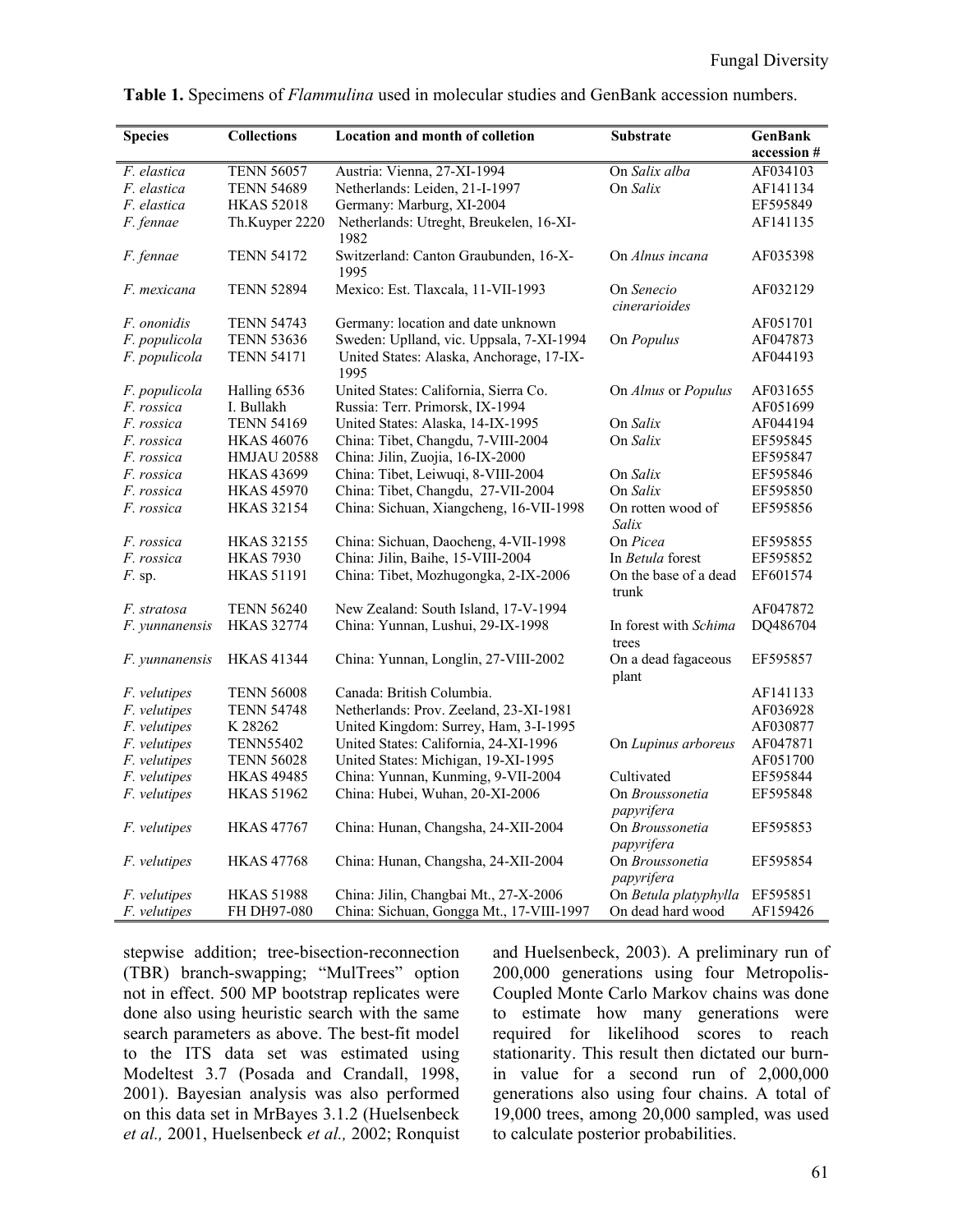| <b>Species</b>        | <b>Collections</b> | Location and month of colletion                  | <b>Substrate</b>               | <b>GenBank</b> |
|-----------------------|--------------------|--------------------------------------------------|--------------------------------|----------------|
|                       |                    |                                                  |                                | accession #    |
| F. elastica           | <b>TENN 56057</b>  | Austria: Vienna, 27-XI-1994                      | On Salix alba                  | AF034103       |
| F. elastica           | <b>TENN 54689</b>  | Netherlands: Leiden, 21-I-1997                   | On Salix                       | AF141134       |
| F. elastica           | <b>HKAS 52018</b>  | Germany: Marburg, XI-2004                        |                                | EF595849       |
| F. fennae             | Th.Kuyper 2220     | Netherlands: Utreght, Breukelen, 16-XI-<br>1982  |                                | AF141135       |
| F. fennae             | <b>TENN 54172</b>  | Switzerland: Canton Graubunden, 16-X-<br>1995    | On Alnus incana                | AF035398       |
| F. mexicana           | <b>TENN 52894</b>  | Mexico: Est. Tlaxcala, 11-VII-1993               | On Senecio<br>cinerarioides    | AF032129       |
| F. ononidis           | <b>TENN 54743</b>  | Germany: location and date unknown               |                                | AF051701       |
| F. populicola         | <b>TENN 53636</b>  | Sweden: Uplland, vic. Uppsala, 7-XI-1994         | On Populus                     | AF047873       |
| F. populicola         | <b>TENN 54171</b>  | United States: Alaska, Anchorage, 17-IX-<br>1995 |                                | AF044193       |
| <i>F. populicola</i>  | Halling 6536       | United States: California, Sierra Co.            | On Alnus or Populus            | AF031655       |
| F. rossica            | I. Bullakh         | Russia: Terr. Primorsk, IX-1994                  |                                | AF051699       |
| F. rossica            | <b>TENN 54169</b>  | United States: Alaska, 14-IX-1995                | On Salix                       | AF044194       |
| F. rossica            | <b>HKAS 46076</b>  | China: Tibet, Changdu, 7-VIII-2004               | On Salix                       | EF595845       |
| F. rossica            | <b>HMJAU 20588</b> | China: Jilin, Zuojia, 16-IX-2000                 |                                | EF595847       |
| F. rossica            | <b>HKAS 43699</b>  | China: Tibet, Leiwuqi, 8-VIII-2004               | On Salix                       | EF595846       |
| F. rossica            | <b>HKAS 45970</b>  | China: Tibet, Changdu, 27-VII-2004               | On Salix                       | EF595850       |
| F. rossica            | <b>HKAS 32154</b>  | China: Sichuan, Xiangcheng, 16-VII-1998          | On rotten wood of<br>Salix     | EF595856       |
| F. rossica            | <b>HKAS 32155</b>  | China: Sichuan, Daocheng, 4-VII-1998             | On Picea                       | EF595855       |
| F. rossica            | <b>HKAS 7930</b>   | China: Jilin, Baihe, 15-VIII-2004                | In <i>Betula</i> forest        | EF595852       |
| $F$ . sp.             | <b>HKAS 51191</b>  | China: Tibet, Mozhugongka, 2-IX-2006             | On the base of a dead<br>trunk | EF601574       |
| F. stratosa           | <b>TENN 56240</b>  | New Zealand: South Island, 17-V-1994             |                                | AF047872       |
| F. yunnanensis        | <b>HKAS 32774</b>  | China: Yunnan, Lushui, 29-IX-1998                | In forest with Schima<br>trees | DQ486704       |
| <i>F.</i> yunnanensis | <b>HKAS 41344</b>  | China: Yunnan, Longlin, 27-VIII-2002             | On a dead fagaceous<br>plant   | EF595857       |
| <i>F. velutipes</i>   | <b>TENN 56008</b>  | Canada: British Columbia.                        |                                | AF141133       |
| F. velutipes          | <b>TENN 54748</b>  | Netherlands: Prov. Zeeland, 23-XI-1981           |                                | AF036928       |
| F. velutipes          | K 28262            | United Kingdom: Surrey, Ham, 3-I-1995            |                                | AF030877       |
| F. velutipes          | <b>TENN55402</b>   | United States: California, 24-XI-1996            | On Lupinus arboreus            | AF047871       |
| F. velutipes          | <b>TENN 56028</b>  | United States: Michigan, 19-XI-1995              |                                | AF051700       |
| F. velutipes          | <b>HKAS 49485</b>  | China: Yunnan, Kunming, 9-VII-2004               | Cultivated                     | EF595844       |
| <i>F. velutipes</i>   | <b>HKAS 51962</b>  | China: Hubei, Wuhan, 20-XI-2006                  | On Broussonetia                | EF595848       |
|                       |                    |                                                  | papyrifera                     |                |
| <i>F. velutipes</i>   | <b>HKAS 47767</b>  | China: Hunan, Changsha, 24-XII-2004              | On Broussonetia<br>papyrifera  | EF595853       |
| <i>F. velutipes</i>   | <b>HKAS 47768</b>  | China: Hunan, Changsha, 24-XII-2004              | On Broussonetia<br>papyrifera  | EF595854       |
| <i>F. velutipes</i>   | <b>HKAS 51988</b>  | China: Jilin, Changbai Mt., 27-X-2006            | On Betula platyphylla          | EF595851       |
| <i>F. velutipes</i>   | FH DH97-080        | China: Sichuan, Gongga Mt., 17-VIII-1997         | On dead hard wood              | AF159426       |

**Table 1.** Specimens of *Flammulina* used in molecular studies and GenBank accession numbers.

stepwise addition; tree-bisection-reconnection (TBR) branch-swapping; "MulTrees" option not in effect. 500 MP bootstrap replicates were done also using heuristic search with the same search parameters as above. The best-fit model to the ITS data set was estimated using Modeltest 3.7 (Posada and Crandall, 1998, 2001). Bayesian analysis was also performed on this data set in MrBayes 3.1.2 (Huelsenbeck *et al.,* 2001, Huelsenbeck *et al.,* 2002; Ronquist and Huelsenbeck, 2003). A preliminary run of 200,000 generations using four Metropolis-Coupled Monte Carlo Markov chains was done to estimate how many generations were required for likelihood scores to reach stationarity. This result then dictated our burnin value for a second run of 2,000,000 generations also using four chains. A total of 19,000 trees, among 20,000 sampled, was used to calculate posterior probabilities.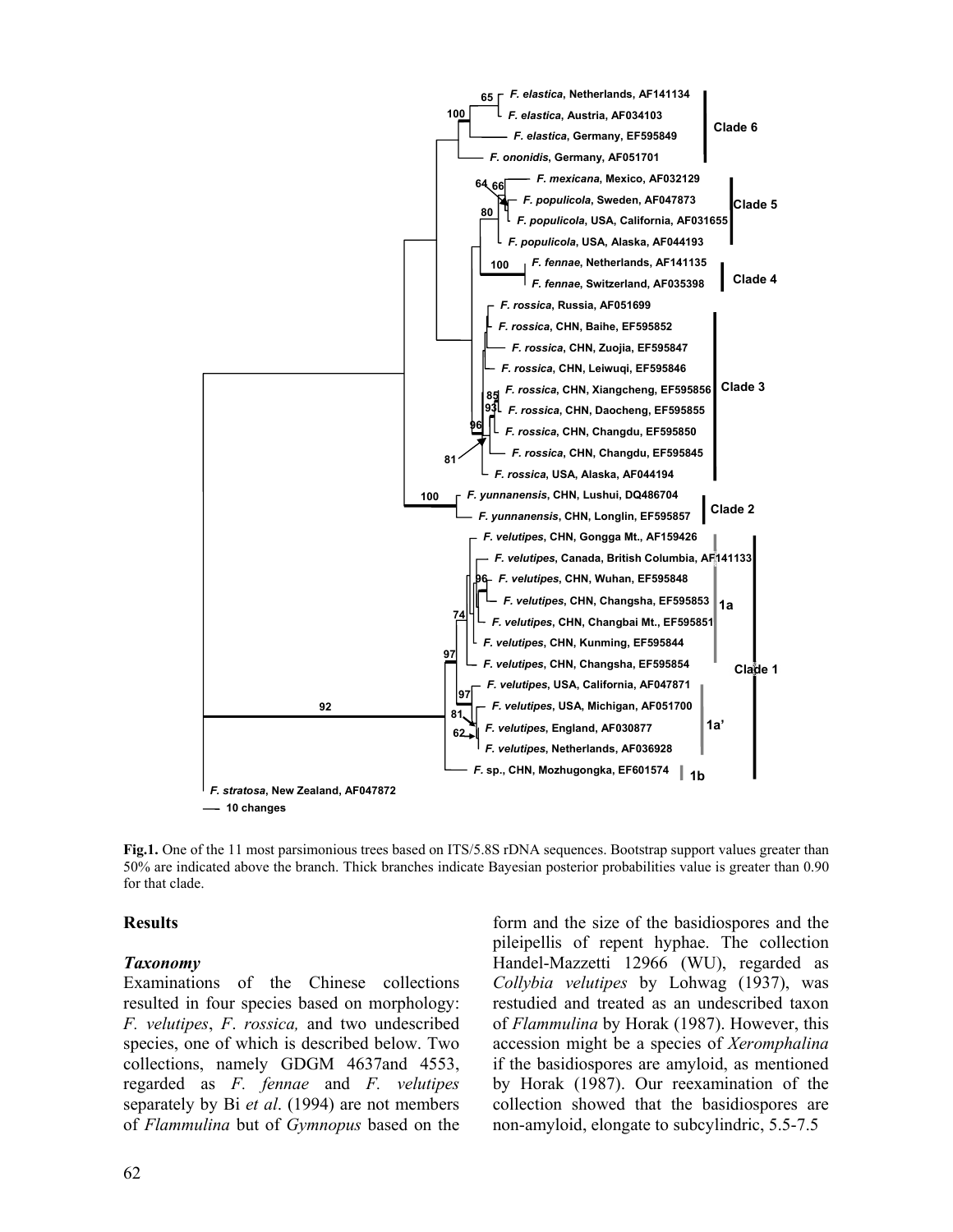

**Fig.1.** One of the 11 most parsimonious trees based on ITS/5.8S rDNA sequences. Bootstrap support values greater than 50% are indicated above the branch. Thick branches indicate Bayesian posterior probabilities value is greater than 0.90 for that clade.

#### **Results**

#### *Taxonomy*

Examinations of the Chinese collections resulted in four species based on morphology: *F. velutipes*, *F*. *rossica,* and two undescribed species, one of which is described below. Two collections, namely GDGM 4637and 4553, regarded as *F. fennae* and *F. velutipes* separately by Bi *et al*. (1994) are not members of *Flammulina* but of *Gymnopus* based on the form and the size of the basidiospores and the pileipellis of repent hyphae. The collection Handel-Mazzetti 12966 (WU), regarded as *Collybia velutipes* by Lohwag (1937), was restudied and treated as an undescribed taxon of *Flammulina* by Horak (1987). However, this accession might be a species of *Xeromphalina*  if the basidiospores are amyloid, as mentioned by Horak (1987). Our reexamination of the collection showed that the basidiospores are non-amyloid, elongate to subcylindric, 5.5-7.5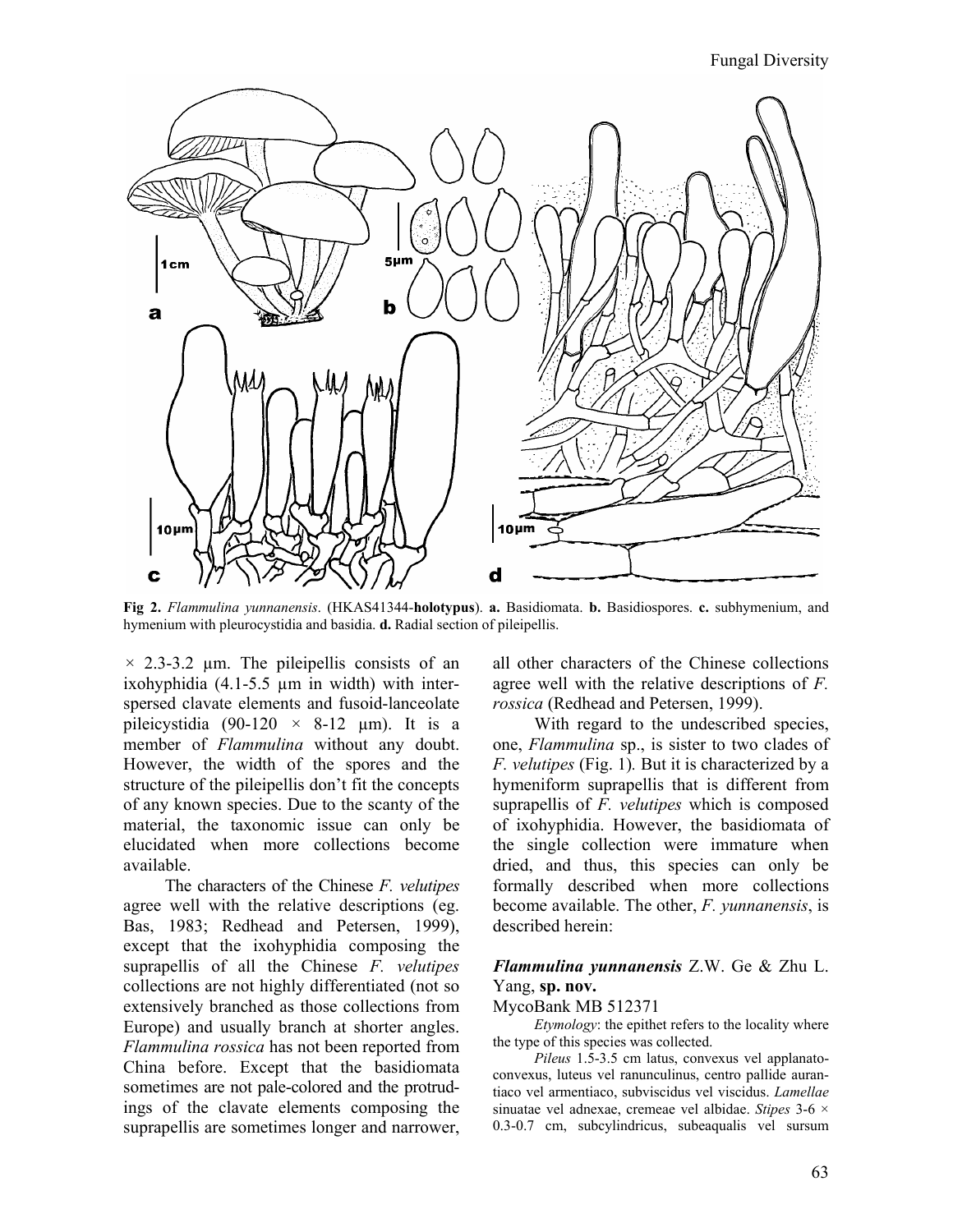Fungal Diversity



**Fig 2.** *Flammulina yunnanensis*. (HKAS41344-**holotypus**). **a.** Basidiomata. **b.** Basidiospores. **c.** subhymenium, and hymenium with pleurocystidia and basidia. **d.** Radial section of pileipellis.

*×* 2.3-3.2 µm. The pileipellis consists of an ixohyphidia (4.1-5.5 µm in width) with interspersed clavate elements and fusoid-lanceolate pileicystidia  $(90-120 \times 8-12 \mu m)$ . It is a member of *Flammulina* without any doubt. However, the width of the spores and the structure of the pileipellis don't fit the concepts of any known species. Due to the scanty of the material, the taxonomic issue can only be elucidated when more collections become available.

The characters of the Chinese *F. velutipes* agree well with the relative descriptions (eg. Bas, 1983; Redhead and Petersen, 1999), except that the ixohyphidia composing the suprapellis of all the Chinese *F. velutipes* collections are not highly differentiated (not so extensively branched as those collections from Europe) and usually branch at shorter angles. *Flammulina rossica* has not been reported from China before. Except that the basidiomata sometimes are not pale-colored and the protrudings of the clavate elements composing the suprapellis are sometimes longer and narrower, all other characters of the Chinese collections agree well with the relative descriptions of *F. rossica* (Redhead and Petersen, 1999).

With regard to the undescribed species, one, *Flammulina* sp., is sister to two clades of *F. velutipes* (Fig. 1)*.* But it is characterized by a hymeniform suprapellis that is different from suprapellis of *F. velutipes* which is composed of ixohyphidia. However, the basidiomata of the single collection were immature when dried, and thus, this species can only be formally described when more collections become available. The other, *F. yunnanensis*, is described herein:

### *Flammulina yunnanensis* Z.W. Ge & Zhu L. Yang, **sp. nov.**

#### MycoBank MB 512371

*Etymology*: the epithet refers to the locality where the type of this species was collected.

*Pileus* 1.5-3.5 cm latus, convexus vel applanatoconvexus, luteus vel ranunculinus, centro pallide aurantiaco vel armentiaco, subviscidus vel viscidus. *Lamellae*  sinuatae vel adnexae, cremeae vel albidae. *Stipes* 3-6 × 0.3-0.7 cm, subcylindricus, subeaqualis vel sursum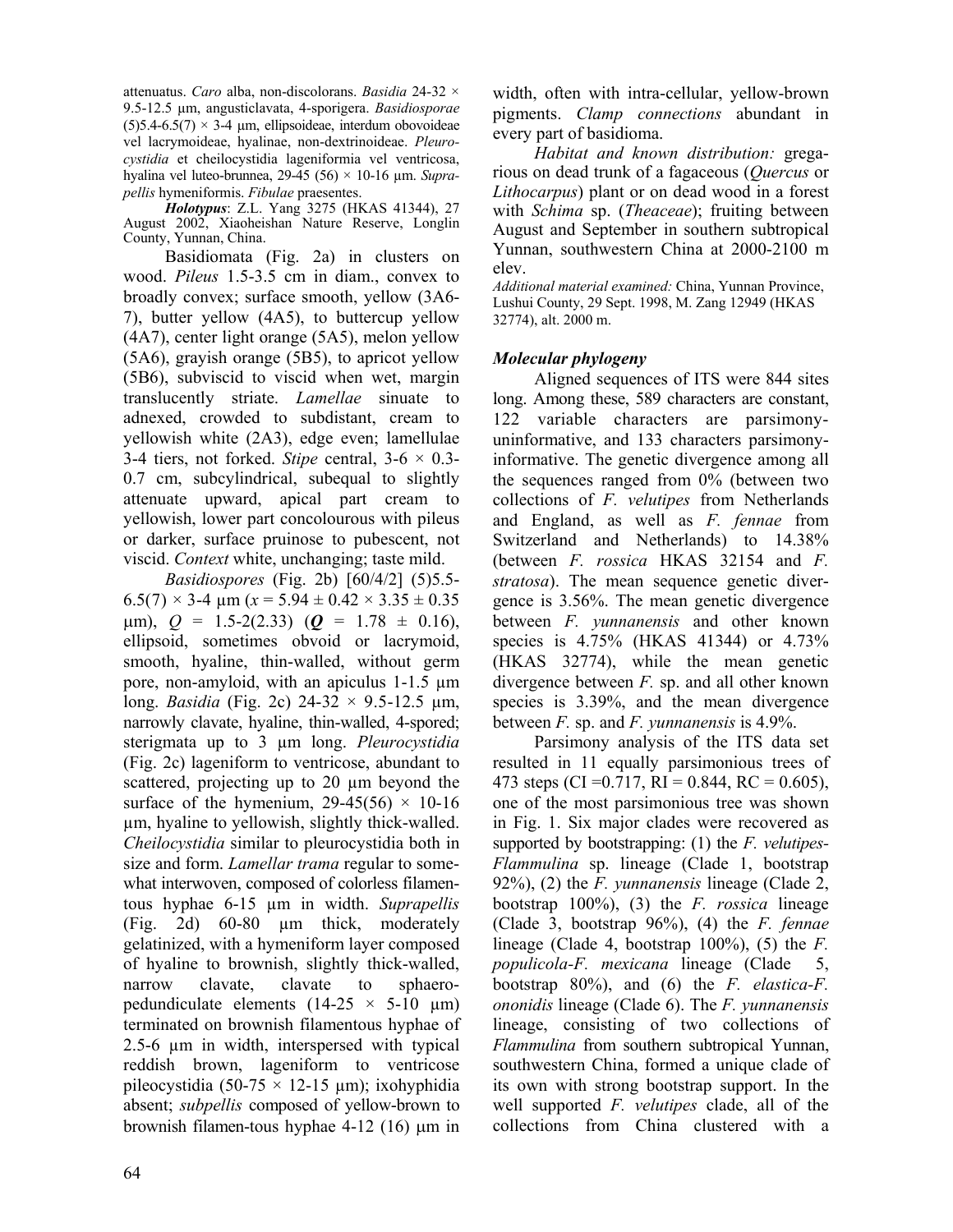attenuatus. *Caro* alba, non-discolorans. *Basidia* 24-32 × 9.5-12.5 µm, angusticlavata, 4-sporigera. *Basidiosporae*   $(5)5.4-6.5(7) \times 3-4 \mu m$ , ellipsoideae, interdum obovoideae vel lacrymoideae, hyalinae, non-dextrinoideae. *Pleurocystidia* et cheilocystidia lageniformia vel ventricosa, hyalina vel luteo-brunnea, 29-45 (56) × 10-16 µm. *Suprapellis* hymeniformis. *Fibulae* praesentes.

*Holotypus*: Z.L. Yang 3275 (HKAS 41344), 27 August 2002, Xiaoheishan Nature Reserve, Longlin County, Yunnan, China.

Basidiomata (Fig. 2a) in clusters on wood. *Pileus* 1.5-3.5 cm in diam., convex to broadly convex; surface smooth, yellow (3A6- 7), butter yellow (4A5), to buttercup yellow (4A7), center light orange (5A5), melon yellow (5A6), grayish orange (5B5), to apricot yellow (5B6), subviscid to viscid when wet, margin translucently striate. *Lamellae* sinuate to adnexed, crowded to subdistant, cream to yellowish white (2A3), edge even; lamellulae 3-4 tiers, not forked. *Stipe* central,  $3-6 \times 0.3$ -0.7 cm, subcylindrical, subequal to slightly attenuate upward, apical part cream to yellowish, lower part concolourous with pileus or darker, surface pruinose to pubescent, not viscid. *Context* white, unchanging; taste mild.

*Basidiospores* (Fig. 2b) [60/4/2] (5)5.5-  $6.5(7) \times 3-4 \text{ µm}$  ( $x = 5.94 \pm 0.42 \times 3.35 \pm 0.35$ )  $\mu$ m),  $Q = 1.5 - 2(2.33)$  ( $Q = 1.78 \pm 0.16$ ), ellipsoid, sometimes obvoid or lacrymoid, smooth, hyaline, thin-walled, without germ pore, non-amyloid, with an apiculus 1-1.5 µm long. *Basidia* (Fig. 2c) 24-32 × 9.5-12.5 µm, narrowly clavate, hyaline, thin-walled, 4-spored; sterigmata up to 3 µm long. *Pleurocystidia*  (Fig. 2c) lageniform to ventricose, abundant to scattered, projecting up to 20 µm beyond the surface of the hymenium,  $29-45(56) \times 10-16$ µm, hyaline to yellowish, slightly thick-walled. *Cheilocystidia* similar to pleurocystidia both in size and form. *Lamellar trama* regular to somewhat interwoven, composed of colorless filamentous hyphae 6-15 µm in width. *Suprapellis*  (Fig. 2d) 60-80 µm thick, moderately gelatinized, with a hymeniform layer composed of hyaline to brownish, slightly thick-walled, narrow clavate, clavate to sphaeropedundiculate elements  $(14-25 \times 5-10 \mu m)$ terminated on brownish filamentous hyphae of 2.5-6 µm in width, interspersed with typical reddish brown, lageniform to ventricose pileocystidia (50-75  $\times$  12-15 µm); ixohyphidia absent; *subpellis* composed of yellow-brown to brownish filamen-tous hyphae  $4-12$  (16)  $\mu$ m in width, often with intra-cellular, yellow-brown pigments. *Clamp connections* abundant in every part of basidioma.

*Habitat and known distribution:* gregarious on dead trunk of a fagaceous (*Quercus* or *Lithocarpus*) plant or on dead wood in a forest with *Schima* sp. (*Theaceae*); fruiting between August and September in southern subtropical Yunnan, southwestern China at 2000-2100 m elev.

*Additional material examined:* China, Yunnan Province, Lushui County, 29 Sept. 1998, M. Zang 12949 (HKAS 32774), alt. 2000 m.

## *Molecular phylogeny*

Aligned sequences of ITS were 844 sites long. Among these, 589 characters are constant, 122 variable characters are parsimonyuninformative, and 133 characters parsimonyinformative. The genetic divergence among all the sequences ranged from 0% (between two collections of *F. velutipes* from Netherlands and England, as well as *F. fennae* from Switzerland and Netherlands) to 14.38% (between *F. rossica* HKAS 32154 and *F. stratosa*). The mean sequence genetic divergence is 3.56%. The mean genetic divergence between *F. yunnanensis* and other known species is 4.75% (HKAS 41344) or 4.73% (HKAS 32774), while the mean genetic divergence between *F.* sp. and all other known species is 3.39%, and the mean divergence between *F.* sp. and *F. yunnanensis* is 4.9%.

Parsimony analysis of the ITS data set resulted in 11 equally parsimonious trees of 473 steps (CI = 0.717, RI = 0.844, RC = 0.605), one of the most parsimonious tree was shown in Fig. 1. Six major clades were recovered as supported by bootstrapping: (1) the *F. velutipes-Flammulina* sp. lineage (Clade 1, bootstrap 92%), (2) the *F. yunnanensis* lineage (Clade 2, bootstrap 100%), (3) the *F. rossica* lineage (Clade 3, bootstrap 96%), (4) the *F. fennae*  lineage (Clade 4, bootstrap 100%), (5) the *F. populicola-F. mexicana* lineage (Clade 5, bootstrap 80%), and (6) the *F. elastica-F. ononidis* lineage (Clade 6). The *F. yunnanensis* lineage, consisting of two collections of *Flammulina* from southern subtropical Yunnan, southwestern China, formed a unique clade of its own with strong bootstrap support. In the well supported *F. velutipes* clade, all of the collections from China clustered with a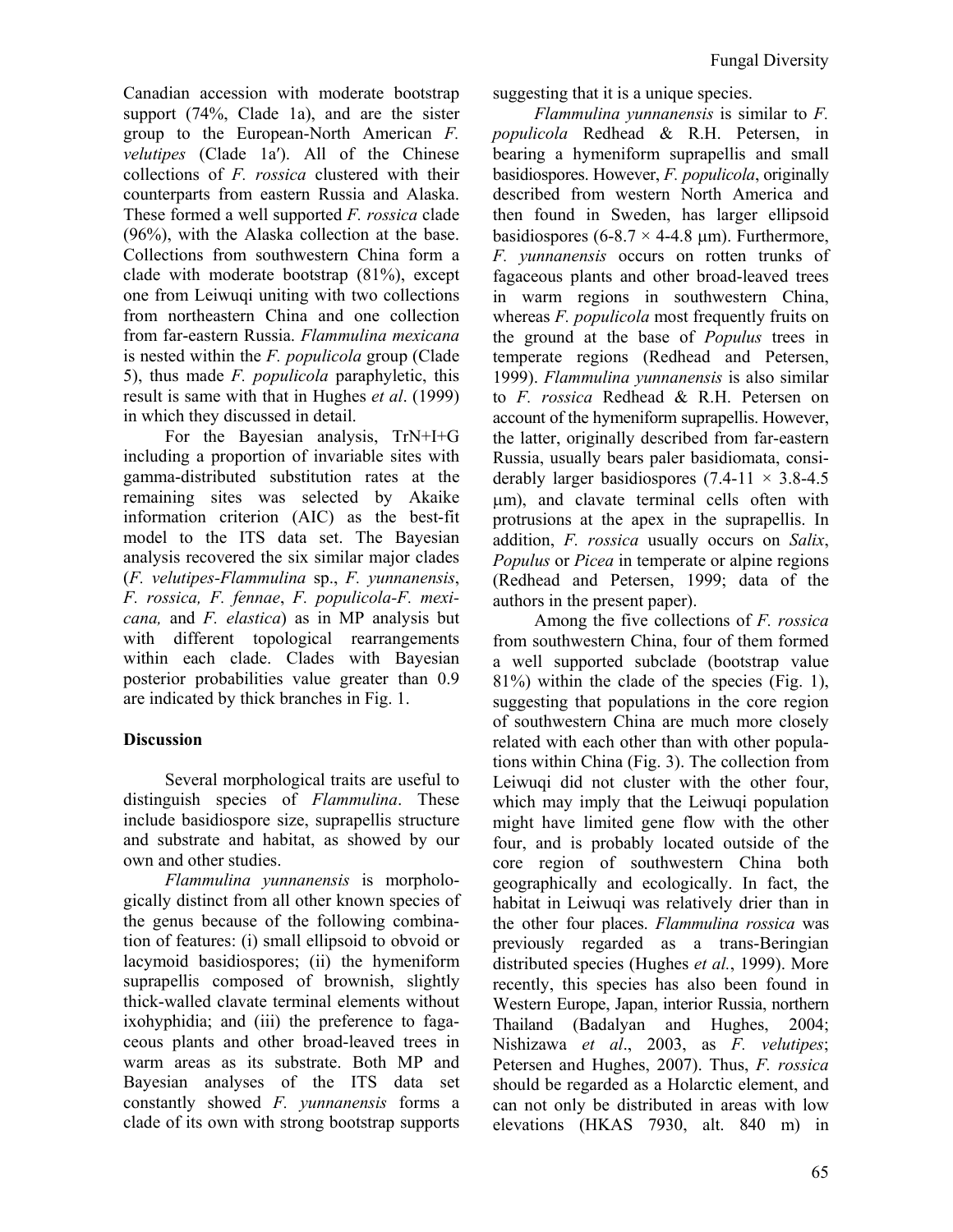Canadian accession with moderate bootstrap support (74%, Clade 1a), and are the sister group to the European-North American *F. velutipes* (Clade 1a′). All of the Chinese collections of *F. rossica* clustered with their counterparts from eastern Russia and Alaska. These formed a well supported *F. rossica* clade (96%), with the Alaska collection at the base. Collections from southwestern China form a clade with moderate bootstrap (81%), except one from Leiwuqi uniting with two collections from northeastern China and one collection from far-eastern Russia. *Flammulina mexicana* is nested within the *F. populicola* group (Clade 5), thus made *F. populicola* paraphyletic, this result is same with that in Hughes *et al*. (1999) in which they discussed in detail.

For the Bayesian analysis, TrN+I+G including a proportion of invariable sites with gamma-distributed substitution rates at the remaining sites was selected by Akaike information criterion (AIC) as the best-fit model to the ITS data set. The Bayesian analysis recovered the six similar major clades (*F. velutipes-Flammulina* sp., *F. yunnanensis*, *F. rossica, F. fennae*, *F. populicola-F. mexicana,* and *F. elastica*) as in MP analysis but with different topological rearrangements within each clade. Clades with Bayesian posterior probabilities value greater than 0.9 are indicated by thick branches in Fig. 1.

## **Discussion**

Several morphological traits are useful to distinguish species of *Flammulina*. These include basidiospore size, suprapellis structure and substrate and habitat, as showed by our own and other studies.

*Flammulina yunnanensis* is morphologically distinct from all other known species of the genus because of the following combination of features: (i) small ellipsoid to obvoid or lacymoid basidiospores; (ii) the hymeniform suprapellis composed of brownish, slightly thick-walled clavate terminal elements without ixohyphidia; and (iii) the preference to fagaceous plants and other broad-leaved trees in warm areas as its substrate. Both MP and Bayesian analyses of the ITS data set constantly showed *F. yunnanensis* forms a clade of its own with strong bootstrap supports suggesting that it is a unique species.

*Flammulina yunnanensis* is similar to *F. populicola* Redhead & R.H. Petersen, in bearing a hymeniform suprapellis and small basidiospores. However, *F. populicola*, originally described from western North America and then found in Sweden, has larger ellipsoid basidiospores (6-8.7  $\times$  4-4.8 µm). Furthermore, *F. yunnanensis* occurs on rotten trunks of fagaceous plants and other broad-leaved trees in warm regions in southwestern China, whereas *F. populicola* most frequently fruits on the ground at the base of *Populus* trees in temperate regions (Redhead and Petersen, 1999). *Flammulina yunnanensis* is also similar to *F. rossica* Redhead & R.H. Petersen on account of the hymeniform suprapellis. However, the latter, originally described from far-eastern Russia, usually bears paler basidiomata, considerably larger basidiospores  $(7.4-11 \times 3.8-4.5)$ µm), and clavate terminal cells often with protrusions at the apex in the suprapellis. In addition, *F. rossica* usually occurs on *Salix*, *Populus* or *Picea* in temperate or alpine regions (Redhead and Petersen, 1999; data of the authors in the present paper).

Among the five collections of *F. rossica*  from southwestern China, four of them formed a well supported subclade (bootstrap value 81%) within the clade of the species (Fig. 1), suggesting that populations in the core region of southwestern China are much more closely related with each other than with other populations within China (Fig. 3). The collection from Leiwuqi did not cluster with the other four, which may imply that the Leiwuqi population might have limited gene flow with the other four, and is probably located outside of the core region of southwestern China both geographically and ecologically. In fact, the habitat in Leiwuqi was relatively drier than in the other four places. *Flammulina rossica* was previously regarded as a trans-Beringian distributed species (Hughes *et al.*, 1999). More recently, this species has also been found in Western Europe, Japan, interior Russia, northern Thailand (Badalyan and Hughes, 2004; Nishizawa *et al*., 2003, as *F. velutipes*; Petersen and Hughes, 2007). Thus, *F. rossica* should be regarded as a Holarctic element, and can not only be distributed in areas with low elevations (HKAS 7930, alt. 840 m) in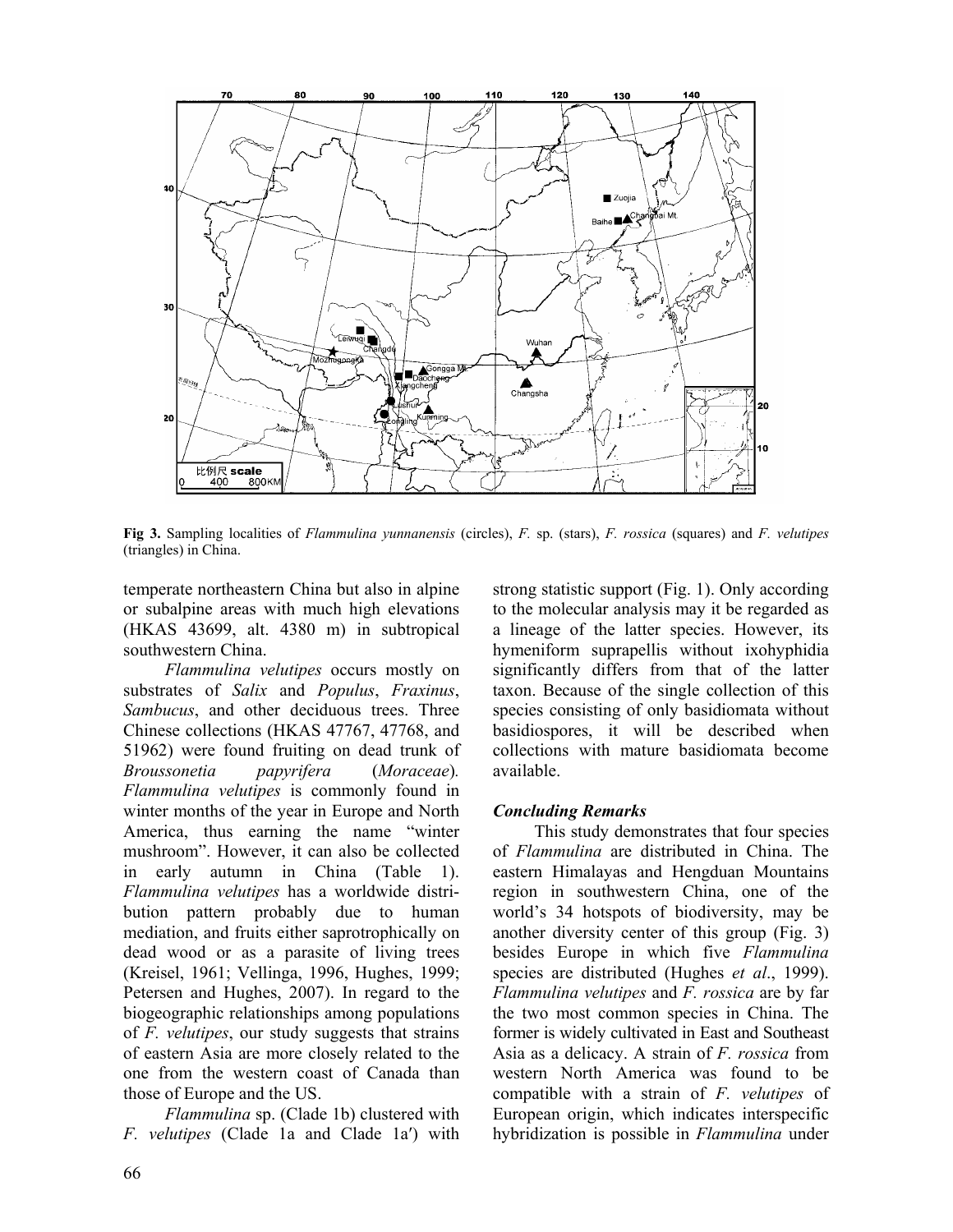

**Fig 3.** Sampling localities of *Flammulina yunnanensis* (circles), *F.* sp. (stars), *F. rossica* (squares) and *F. velutipes*  (triangles) in China.

temperate northeastern China but also in alpine or subalpine areas with much high elevations (HKAS 43699, alt. 4380 m) in subtropical southwestern China.

*Flammulina velutipes* occurs mostly on substrates of *Salix* and *Populus*, *Fraxinus*, *Sambucus*, and other deciduous trees. Three Chinese collections (HKAS 47767, 47768, and 51962) were found fruiting on dead trunk of *Broussonetia papyrifera* (*Moraceae*)*. Flammulina velutipes* is commonly found in winter months of the year in Europe and North America, thus earning the name "winter mushroom". However, it can also be collected in early autumn in China (Table 1). *Flammulina velutipes* has a worldwide distribution pattern probably due to human mediation, and fruits either saprotrophically on dead wood or as a parasite of living trees (Kreisel, 1961; Vellinga, 1996, Hughes, 1999; Petersen and Hughes, 2007). In regard to the biogeographic relationships among populations of *F. velutipes*, our study suggests that strains of eastern Asia are more closely related to the one from the western coast of Canada than those of Europe and the US.

*Flammulina* sp. (Clade 1b) clustered with *F. velutipes* (Clade 1a and Clade 1a′) with strong statistic support (Fig. 1). Only according to the molecular analysis may it be regarded as a lineage of the latter species. However, its hymeniform suprapellis without ixohyphidia significantly differs from that of the latter taxon. Because of the single collection of this species consisting of only basidiomata without basidiospores, it will be described when collections with mature basidiomata become available.

#### *Concluding Remarks*

This study demonstrates that four species of *Flammulina* are distributed in China. The eastern Himalayas and Hengduan Mountains region in southwestern China, one of the world's 34 hotspots of biodiversity, may be another diversity center of this group (Fig. 3) besides Europe in which five *Flammulina* species are distributed (Hughes *et al*., 1999). *Flammulina velutipes* and *F. rossica* are by far the two most common species in China. The former is widely cultivated in East and Southeast Asia as a delicacy. A strain of *F. rossica* from western North America was found to be compatible with a strain of *F. velutipes* of European origin, which indicates interspecific hybridization is possible in *Flammulina* under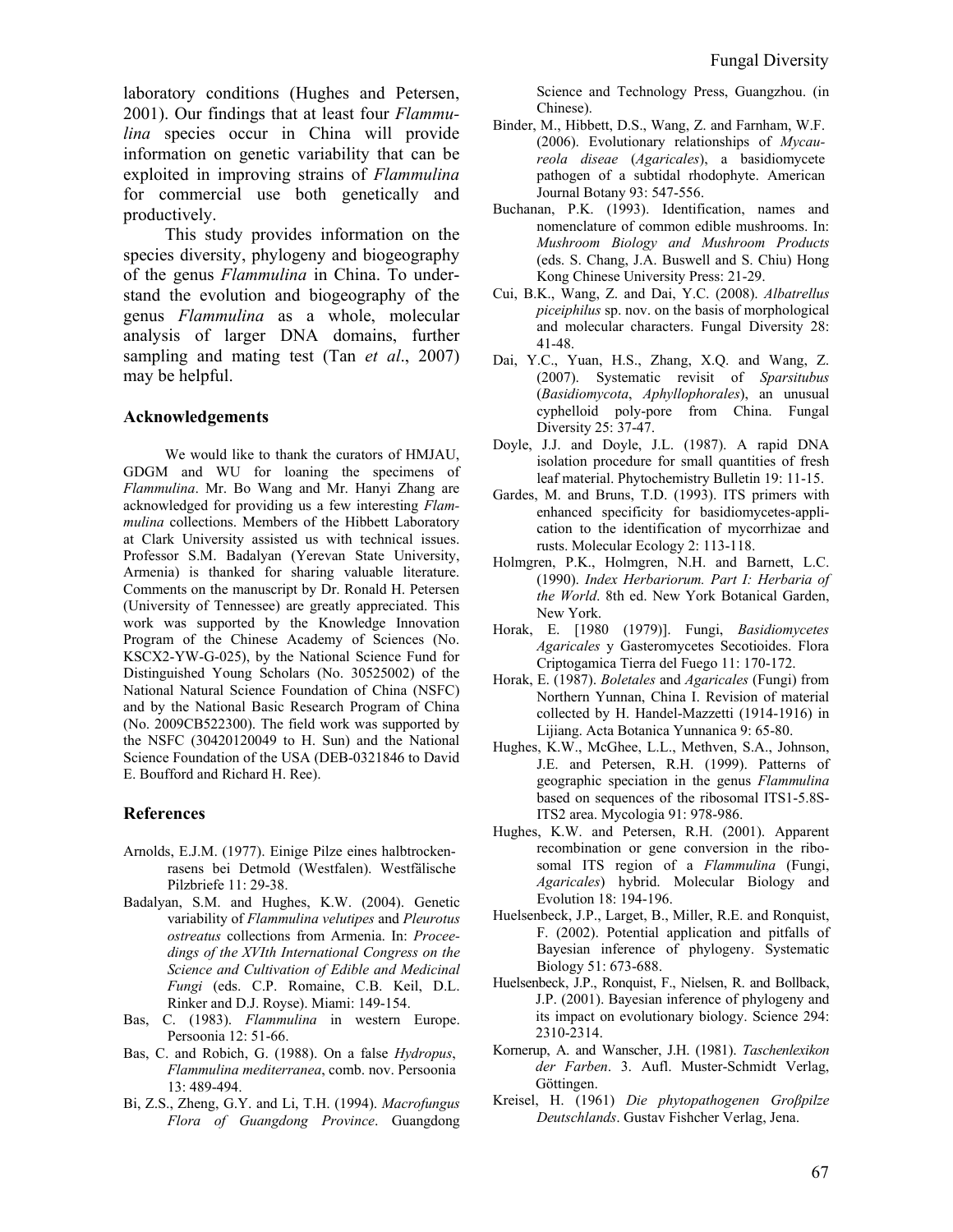laboratory conditions (Hughes and Petersen, 2001). Our findings that at least four *Flammulina* species occur in China will provide information on genetic variability that can be exploited in improving strains of *Flammulina* for commercial use both genetically and productively.

This study provides information on the species diversity, phylogeny and biogeography of the genus *Flammulina* in China. To understand the evolution and biogeography of the genus *Flammulina* as a whole, molecular analysis of larger DNA domains, further sampling and mating test (Tan *et al*., 2007) may be helpful.

#### **Acknowledgements**

We would like to thank the curators of HMJAU, GDGM and WU for loaning the specimens of *Flammulina*. Mr. Bo Wang and Mr. Hanyi Zhang are acknowledged for providing us a few interesting *Flammulina* collections. Members of the Hibbett Laboratory at Clark University assisted us with technical issues. Professor S.M. Badalyan (Yerevan State University, Armenia) is thanked for sharing valuable literature. Comments on the manuscript by Dr. Ronald H. Petersen (University of Tennessee) are greatly appreciated. This work was supported by the Knowledge Innovation Program of the Chinese Academy of Sciences (No. KSCX2-YW-G-025), by the National Science Fund for Distinguished Young Scholars (No. 30525002) of the National Natural Science Foundation of China (NSFC) and by the National Basic Research Program of China (No. 2009CB522300). The field work was supported by the NSFC (30420120049 to H. Sun) and the National Science Foundation of the USA (DEB-0321846 to David E. Boufford and Richard H. Ree).

#### **References**

- Arnolds, E.J.M. (1977). Einige Pilze eines halbtrockenrasens bei Detmold (Westfalen). Westfälische Pilzbriefe 11: 29-38.
- Badalyan, S.M. and Hughes, K.W. (2004). Genetic variability of *Flammulina velutipes* and *Pleurotus ostreatus* collections from Armenia. In: *Proceedings of the XVIth International Congress on the Science and Cultivation of Edible and Medicinal Fungi* (eds. C.P. Romaine, C.B. Keil, D.L. Rinker and D.J. Royse). Miami: 149-154.
- Bas, C. (1983). *Flammulina* in western Europe. Persoonia 12: 51-66.
- Bas, C. and Robich, G. (1988). On a false *Hydropus*, *Flammulina mediterranea*, comb. nov. Persoonia 13: 489-494.
- Bi, Z.S., Zheng, G.Y. and Li, T.H. (1994). *Macrofungus Flora of Guangdong Province*. Guangdong

Science and Technology Press, Guangzhou. (in Chinese).

- Binder, M., Hibbett, D.S., Wang, Z. and Farnham, W.F. (2006). Evolutionary relationships of *Mycaureola diseae* (*Agaricales*), a basidiomycete pathogen of a subtidal rhodophyte. American Journal Botany 93: 547-556.
- Buchanan, P.K. (1993). Identification, names and nomenclature of common edible mushrooms. In: *Mushroom Biology and Mushroom Products* (eds. S. Chang, J.A. Buswell and S. Chiu) Hong Kong Chinese University Press: 21-29.
- Cui, B.K., Wang, Z. and Dai, Y.C. (2008). *Albatrellus piceiphilus* sp. nov. on the basis of morphological and molecular characters. Fungal Diversity 28: 41-48.
- Dai, Y.C., Yuan, H.S., Zhang, X.Q. and Wang, Z. (2007). Systematic revisit of *Sparsitubus* (*Basidiomycota*, *Aphyllophorales*), an unusual cyphelloid poly-pore from China. Fungal Diversity 25: 37-47.
- Doyle, J.J. and Doyle, J.L. (1987). A rapid DNA isolation procedure for small quantities of fresh leaf material. Phytochemistry Bulletin 19: 11-15.
- Gardes, M. and Bruns, T.D. (1993). ITS primers with enhanced specificity for basidiomycetes-application to the identification of mycorrhizae and rusts. Molecular Ecology 2: 113-118.
- Holmgren, P.K., Holmgren, N.H. and Barnett, L.C. (1990). *Index Herbariorum. Part I: Herbaria of the World*. 8th ed. New York Botanical Garden, New York.
- Horak, E. [1980 (1979)]. Fungi, *Basidiomycetes Agaricales* y Gasteromycetes Secotioides. Flora Criptogamica Tierra del Fuego 11: 170-172.
- Horak, E. (1987). *Boletales* and *Agaricales* (Fungi) from Northern Yunnan, China I. Revision of material collected by H. Handel-Mazzetti (1914-1916) in Lijiang. Acta Botanica Yunnanica 9: 65-80.
- Hughes, K.W., McGhee, L.L., Methven, S.A., Johnson, J.E. and Petersen, R.H. (1999). Patterns of geographic speciation in the genus *Flammulina*  based on sequences of the ribosomal ITS1-5.8S-ITS2 area. Mycologia 91: 978-986.
- Hughes, K.W. and Petersen, R.H. (2001). Apparent recombination or gene conversion in the ribosomal ITS region of a *Flammulina* (Fungi, *Agaricales*) hybrid. Molecular Biology and Evolution 18: 194-196.
- Huelsenbeck, J.P., Larget, B., Miller, R.E. and Ronquist, F. (2002). Potential application and pitfalls of Bayesian inference of phylogeny. Systematic Biology 51: 673-688.
- Huelsenbeck, J.P., Ronquist, F., Nielsen, R. and Bollback, J.P. (2001). Bayesian inference of phylogeny and its impact on evolutionary biology. Science 294: 2310-2314.
- Kornerup, A. and Wanscher, J.H. (1981). *Taschenlexikon der Farben*. 3. Aufl. Muster-Schmidt Verlag, Göttingen.
- Kreisel, H. (1961) *Die phytopathogenen Groβpilze Deutschlands*. Gustav Fishcher Verlag, Jena.